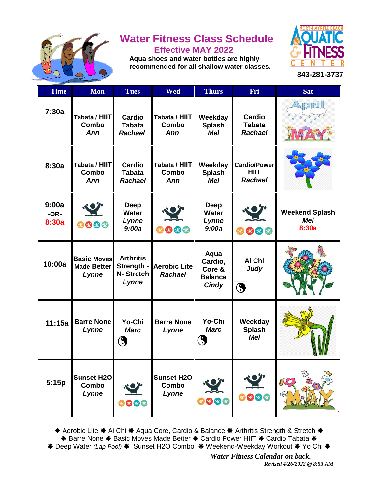

# **Water Fitness Class Schedule Effective MAY 2022**

 **Aqua shoes and water bottles are highly recommended for all shallow water classes.**



**843-281-3737**

| <b>Time</b>              | <b>Mon</b>                                        | <b>Tues</b>                                          | Wed                                        | <b>Thurs</b>                                                | Fri                                                  | <b>Sat</b>                                   |
|--------------------------|---------------------------------------------------|------------------------------------------------------|--------------------------------------------|-------------------------------------------------------------|------------------------------------------------------|----------------------------------------------|
| 7:30a                    | Tabata / HIIT<br>Combo<br>Ann                     | <b>Cardio</b><br><b>Tabata</b><br><b>Rachael</b>     | Tabata / HIIT<br>Combo<br>Ann              | Weekday<br><b>Splash</b><br><b>Mel</b>                      | <b>Cardio</b><br><b>Tabata</b><br><b>Rachael</b>     | pril                                         |
| 8:30a                    | Tabata / HIIT<br>Combo<br>Ann                     | <b>Cardio</b><br><b>Tabata</b><br><b>Rachael</b>     | Tabata / HIIT<br>Combo<br>Ann              | Weekday<br><b>Splash</b><br><b>Mel</b>                      | <b>Cardio/Power</b><br><b>HIIT</b><br><b>Rachael</b> |                                              |
| 9:00a<br>$-OR-$<br>8:30a | 0000                                              | <b>Deep</b><br><b>Water</b><br>Lynne<br>9:00a        | 000                                        | <b>Deep</b><br><b>Water</b><br>Lynne<br>9:00a               | 222                                                  | <b>Weekend Splash</b><br><b>Mel</b><br>8:30a |
| 10:00a                   | <b>Basic Moves</b><br><b>Made Better</b><br>Lynne | <b>Arthritis</b><br>Strength -<br>N-Stretch<br>Lynne | <b>Aerobic Lite</b><br><b>Rachael</b>      | Aqua<br>Cardio,<br>Core &<br><b>Balance</b><br><b>Cindy</b> | Ai Chi<br>Judy<br>$\bigcirc$                         |                                              |
| 11:15a                   | <b>Barre None</b><br>Lynne                        | Yo-Chi<br><b>Marc</b><br>9                           | <b>Barre None</b><br>Lynne                 | Yo-Chi<br><b>Marc</b><br>$\bigcirc$                         | Weekday<br><b>Splash</b><br><b>Mel</b>               |                                              |
| 5:15p                    | <b>Sunset H2O</b><br>Combo<br>Lynne               | 0000                                                 | <b>Sunset H2O</b><br><b>Combo</b><br>Lynne | 9000                                                        | 9009                                                 | 86<br>82                                     |

\* Aerobic Lite \* Ai Chi \* Aqua Core, Cardio & Balance \* Arthritis Strength & Stretch \* \* Barre None \* Basic Moves Made Better \* Cardio Power HIIT \* Cardio Tabata \* \* Deep Water *(Lap Pool)* \* Sunset H2O Combo \* Weekend-Weekday Workout \* Yo Chi \*